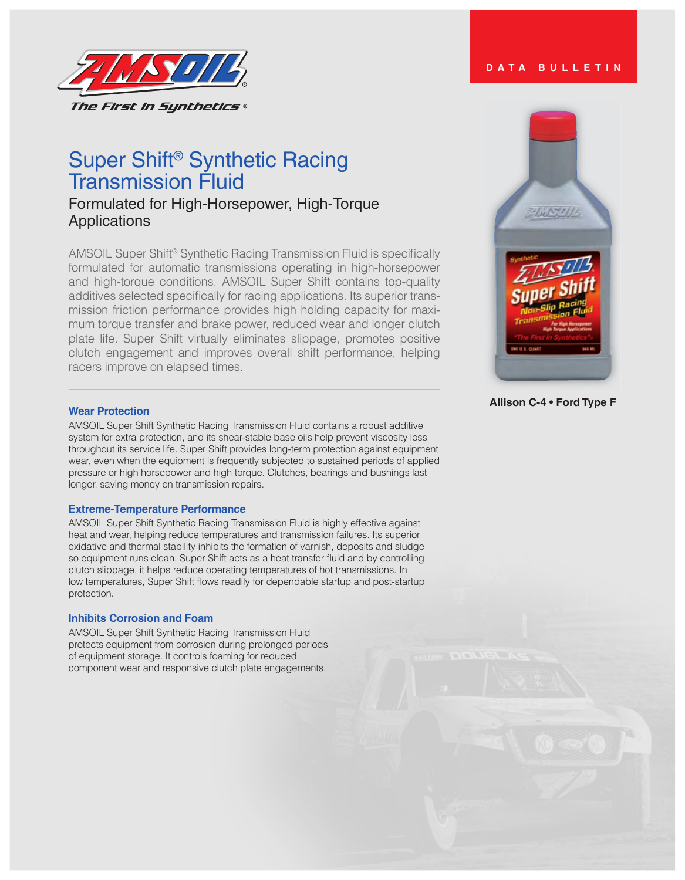

# Super Shift® Synthetic Racing Transmission Fluid

Formulated for High-Horsepower, High-Torque Applications

AMSOIL Super Shift® Synthetic Racing Transmission Fluid is specifically formulated for automatic transmissions operating in high-horsepower and high-torque conditions. AMSOIL Super Shift contains top-quality additives selected specifically for racing applications. Its superior transmission friction performance provides high holding capacity for maximum torque transfer and brake power, reduced wear and longer clutch plate life. Super Shift virtually eliminates slippage, promotes positive clutch engagement and improves overall shift performance, helping racers improve on elapsed times.

#### **Wear Protection**

AMSOIL Super Shift Synthetic Racing Transmission Fluid contains a robust additive system for extra protection, and its shear-stable base oils help prevent viscosity loss throughout its service life. Super Shift provides long-term protection against equipment wear, even when the equipment is frequently subjected to sustained periods of applied pressure or high horsepower and high torque. Clutches, bearings and bushings last longer, saving money on transmission repairs.

#### **Extreme-Temperature Performance**

AMSOIL Super Shift Synthetic Racing Transmission Fluid is highly effective against heat and wear, helping reduce temperatures and transmission failures. Its superior oxidative and thermal stability inhibits the formation of varnish, deposits and sludge so equipment runs clean. Super Shift acts as a heat transfer fluid and by controlling clutch slippage, it helps reduce operating temperatures of hot transmissions. In low temperatures, Super Shift flows readily for dependable startup and post-startup protection.

# **Inhibits Corrosion and Foam**

AMSOIL Super Shift Synthetic Racing Transmission Fluid protects equipment from corrosion during prolonged periods of equipment storage. It controls foaming for reduced component wear and responsive clutch plate engagements.

**DATA BULLETIN**



#### **Allison C-4 • Ford Type F**